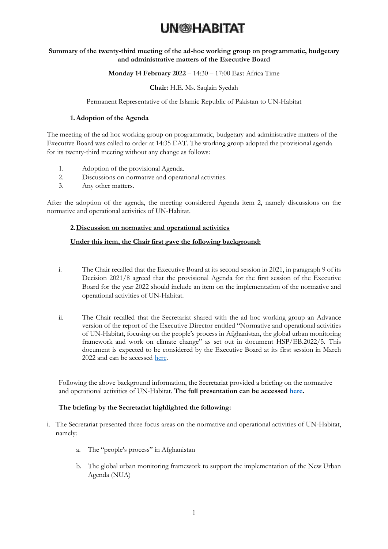#### **Summary of the twenty-third meeting of the ad-hoc working group on programmatic, budgetary and administrative matters of the Executive Board**

#### **Monday 14 February 2022** – 14:30 – 17:00 East Africa Time

#### **Chair:** H.E. Ms. Saqlain Syedah

#### Permanent Representative of the Islamic Republic of Pakistan to UN-Habitat

#### **1.Adoption of the Agenda**

The meeting of the ad hoc working group on programmatic, budgetary and administrative matters of the Executive Board was called to order at 14:35 EAT. The working group adopted the provisional agenda for its twenty-third meeting without any change as follows:

- 1. Adoption of the provisional Agenda.
- 2. Discussions on normative and operational activities.
- 3. Any other matters.

After the adoption of the agenda, the meeting considered Agenda item 2, namely discussions on the normative and operational activities of UN-Habitat.

#### **2.Discussion on normative and operational activities**

#### **Under this item, the Chair first gave the following background:**

- i. The Chair recalled that the Executive Board at its second session in 2021, in paragraph 9 of its Decision 2021/8 agreed that the provisional Agenda for the first session of the Executive Board for the year 2022 should include an item on the implementation of the normative and operational activities of UN-Habitat.
- ii. The Chair recalled that the Secretariat shared with the ad hoc working group an Advance version of the report of the Executive Director entitled "Normative and operational activities of UN-Habitat, focusing on the people's process in Afghanistan, the global urban monitoring framework and work on climate change" as set out in document HSP/EB.2022/5. This document is expected to be considered by the Executive Board at its first session in March 2022 and can be accessed [here.](https://unhabitat.org/sites/default/files/2022/02/k2200081_-_hsp-eb-2022-5_-_advance.pdf)

Following the above background information, the Secretariat provided a briefing on the normative and operational activities of UN-Habitat. **The full presentation can be accessed [here.](https://unhabitat.org/sites/default/files/2022/02/1-normative_operational_activities_report_ahwg_pba_140222_final_2.pdf)** 

#### **The briefing by the Secretariat highlighted the following:**

- i. The Secretariat presented three focus areas on the normative and operational activities of UN-Habitat, namely:
	- a. The "people's process" in Afghanistan
	- b. The global urban monitoring framework to support the implementation of the New Urban Agenda (NUA)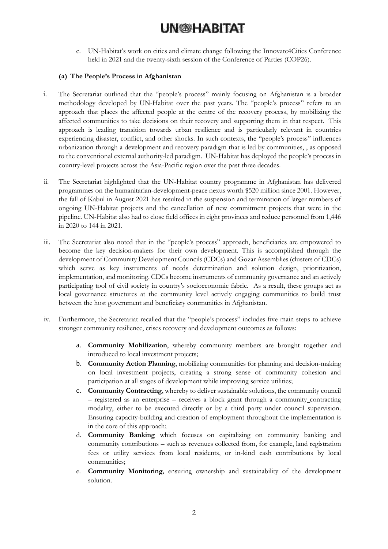c. UN-Habitat's work on cities and climate change following the Innovate4Cities Conference held in 2021 and the twenty-sixth session of the Conference of Parties (COP26).

#### **(a) The People's Process in Afghanistan**

- i. The Secretariat outlined that the "people's process" mainly focusing on Afghanistan is a broader methodology developed by UN-Habitat over the past years. The "people's process" refers to an approach that places the affected people at the centre of the recovery process, by mobilizing the affected communities to take decisions on their recovery and supporting them in that respect. This approach is leading transition towards urban resilience and is particularly relevant in countries experiencing disaster, conflict, and other shocks. In such contexts, the "people's process" influences urbanization through a development and recovery paradigm that is led by communities, , as opposed to the conventional external authority-led paradigm. UN-Habitat has deployed the people's process in country-level projects across the Asia-Pacific region over the past three decades.
- ii. The Secretariat highlighted that the UN-Habitat country programme in Afghanistan has delivered programmes on the humanitarian-development-peace nexus worth \$520 million since 2001. However, the fall of Kabul in August 2021 has resulted in the suspension and termination of larger numbers of ongoing UN-Habitat projects and the cancellation of new commitment projects that were in the pipeline. UN-Habitat also had to close field offices in eight provinces and reduce personnel from 1,446 in 2020 to 144 in 2021.
- iii. The Secretariat also noted that in the "people's process" approach, beneficiaries are empowered to become the key decision-makers for their own development. This is accomplished through the development of Community Development Councils (CDCs) and Gozar Assemblies (clusters of CDCs) which serve as key instruments of needs determination and solution design, prioritization, implementation, and monitoring. CDCs become instruments of community governance and an actively participating tool of civil society in country's socioeconomic fabric. As a result, these groups act as local governance structures at the community level actively engaging communities to build trust between the host government and beneficiary communities in Afghanistan.
- iv. Furthermore, the Secretariat recalled that the "people's process" includes five main steps to achieve stronger community resilience, crises recovery and development outcomes as follows:
	- a. **Community Mobilization**, whereby community members are brought together and introduced to local investment projects;
	- b. **Community Action Planning**, mobilizing communities for planning and decision-making on local investment projects, creating a strong sense of community cohesion and participation at all stages of development while improving service utilities;
	- c. **Community Contracting**, whereby to deliver sustainable solutions, the community council – registered as an enterprise – receives a block grant through a community contracting modality, either to be executed directly or by a third party under council supervision. Ensuring capacity-building and creation of employment throughout the implementation is in the core of this approach;
	- d. **Community Banking** which focuses on capitalizing on community banking and community contributions – such as revenues collected from, for example, land registration fees or utility services from local residents, or in-kind cash contributions by local communities;
	- e. **Community Monitoring**, ensuring ownership and sustainability of the development solution.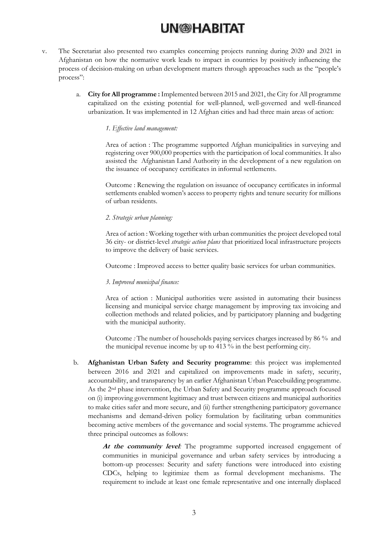- v. The Secretariat also presented two examples concerning projects running during 2020 and 2021 in Afghanistan on how the normative work leads to impact in countries by positively influencing the process of decision-making on urban development matters through approaches such as the "people's process":
	- a. **City for All programme :** Implemented between 2015 and 2021, the City for All programme capitalized on the existing potential for well-planned, well-governed and well-financed urbanization. It was implemented in 12 Afghan cities and had three main areas of action:

#### *1. Effective land management:*

Area of action : The programme supported Afghan municipalities in surveying and registering over 900,000 properties with the participation of local communities. It also assisted the Afghanistan Land Authority in the development of a new regulation on the issuance of occupancy certificates in informal settlements.

Outcome : Renewing the regulation on issuance of occupancy certificates in informal settlements enabled women's access to property rights and tenure security for millions of urban residents.

#### *2. Strategic urban planning:*

Area of action : Working together with urban communities the project developed total 36 city- or district-level *strategic action plans* that prioritized local infrastructure projects to improve the delivery of basic services.

Outcome : Improved access to better quality basic services for urban communities.

#### *3. Improved municipal finance:*

Area of action : Municipal authorities were assisted in automating their business licensing and municipal service charge management by improving tax invoicing and collection methods and related policies, and by participatory planning and budgeting with the municipal authority.

Outcome *:* The number of households paying services charges increased by 86 % and the municipal revenue income by up to 413 % in the best performing city.

b. **Afghanistan Urban Safety and Security programme**: this project was implemented between 2016 and 2021 and capitalized on improvements made in safety, security, accountability, and transparency by an earlier Afghanistan Urban Peacebuilding programme. As the 2nd phase intervention, the Urban Safety and Security programme approach focused on (i) improving government legitimacy and trust between citizens and municipal authorities to make cities safer and more secure, and (ii) further strengthening participatory governance mechanisms and demand-driven policy formulation by facilitating urban communities becoming active members of the governance and social systems. The programme achieved three principal outcomes as follows:

> At the community level: The programme supported increased engagement of communities in municipal governance and urban safety services by introducing a bottom-up processes: Security and safety functions were introduced into existing CDCs, helping to legitimize them as formal development mechanisms. The requirement to include at least one female representative and one internally displaced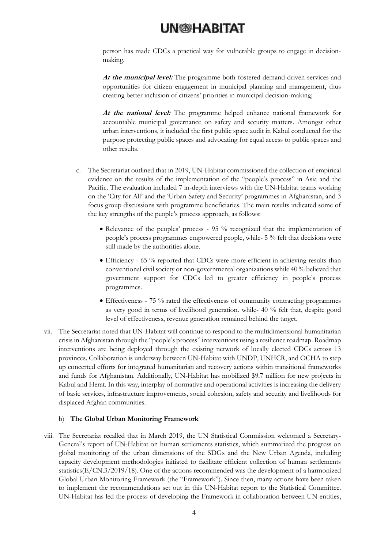person has made CDCs a practical way for vulnerable groups to engage in decisionmaking.

**At the municipal level:** The programme both fostered demand-driven services and opportunities for citizen engagement in municipal planning and management, thus creating better inclusion of citizens' priorities in municipal decision-making;

**At the national level:** The programme helped enhance national framework for accountable municipal governance on safety and security matters. Amongst other urban interventions, it included the first public space audit in Kabul conducted for the purpose protecting public spaces and advocating for equal access to public spaces and other results.

- c. The Secretariat outlined that in 2019, UN-Habitat commissioned the collection of empirical evidence on the results of the implementation of the "people's process" in Asia and the Pacific. The evaluation included 7 in-depth interviews with the UN-Habitat teams working on the 'City for All' and the 'Urban Safety and Security' programmes in Afghanistan, and 3 focus group discussions with programme beneficiaries. The main results indicated some of the key strengths of the people's process approach, as follows:
	- Relevance of the peoples' process 95 % recognized that the implementation of people's process programmes empowered people, while- 5 % felt that decisions were still made by the authorities alone.
	- Efficiency 65 % reported that CDCs were more efficient in achieving results than conventional civil society or non-governmental organizations while 40 % believed that government support for CDCs led to greater efficiency in people's process programmes.
	- Effectiveness 75 % rated the effectiveness of community contracting programmes as very good in terms of livelihood generation. while- 40 % felt that, despite good level of effectiveness, revenue generation remained behind the target.
- vii. The Secretariat noted that UN-Habitat will continue to respond to the multidimensional humanitarian crisis in Afghanistan through the "people's process" interventions using a resilience roadmap. Roadmap interventions are being deployed through the existing network of locally elected CDCs across 13 provinces. Collaboration is underway between UN-Habitat with UNDP, UNHCR, and OCHA to step up concerted efforts for integrated humanitarian and recovery actions within transitional frameworks and funds for Afghanistan. Additionally, UN-Habitat has mobilized \$9.7 million for new projects in Kabul and Herat. In this way, interplay of normative and operational activities is increasing the delivery of basic services, infrastructure improvements, social cohesion, safety and security and livelihoods for displaced Afghan communities.

#### b) **The Global Urban Monitoring Framework**

viii. The Secretariat recalled that in March 2019, the UN Statistical Commission welcomed a Secretary-General's report of UN-Habitat on human settlements statistics, which summarized the progress on global monitoring of the urban dimensions of the SDGs and the New Urban Agenda, including capacity development methodologies initiated to facilitate efficient collection of human settlements statistics(E/CN.3/2019/18). One of the actions recommended was the development of a harmonized Global Urban Monitoring Framework (the "Framework"). Since then, many actions have been taken to implement the recommendations set out in this UN-Habitat report to the Statistical Committee. UN-Habitat has led the process of developing the Framework in collaboration between UN entities,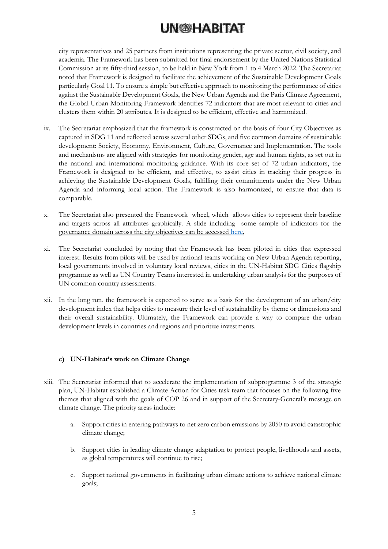city representatives and 25 partners from institutions representing the private sector, civil society, and academia. The Framework has been submitted for final endorsement by the United Nations Statistical Commission at its fifty-third session, to be held in New York from 1 to 4 March 2022. The Secretariat noted that Framework is designed to facilitate the achievement of the Sustainable Development Goals particularly Goal 11. To ensure a simple but effective approach to monitoring the performance of cities against the Sustainable Development Goals, the New Urban Agenda and the Paris Climate Agreement, the Global Urban Monitoring Framework identifies 72 indicators that are most relevant to cities and clusters them within 20 attributes. It is designed to be efficient, effective and harmonized.

- ix. The Secretariat emphasized that the framework is constructed on the basis of four City Objectives as captured in SDG 11 and reflected across several other SDGs, and five common domains of sustainable development: Society, Economy, Environment, Culture, Governance and Implementation. The tools and mechanisms are aligned with strategies for monitoring gender, age and human rights, as set out in the national and international monitoring guidance. With its core set of 72 urban indicators, the Framework is designed to be efficient, and effective, to assist cities in tracking their progress in achieving the Sustainable Development Goals, fulfilling their commitments under the New Urban Agenda and informing local action. The Framework is also harmonized, to ensure that data is comparable.
- x. The Secretariat also presented the Framework wheel, which allows cities to represent their baseline and targets across all attributes graphically. A slide including some sample of indicators for the governance domain across the city objectives can be accessed [here.](https://unhabitat.org/sites/default/files/2022/02/1-normative_operational_activities_report_ahwg_pba_140222_final_2.pdf)
- xi. The Secretariat concluded by noting that the Framework has been piloted in cities that expressed interest. Results from pilots will be used by national teams working on New Urban Agenda reporting, local governments involved in voluntary local reviews, cities in the UN-Habitat SDG Cities flagship programme as well as UN Country Teams interested in undertaking urban analysis for the purposes of UN common country assessments.
- xii. In the long run, the framework is expected to serve as a basis for the development of an urban/city development index that helps cities to measure their level of sustainability by theme or dimensions and their overall sustainability. Ultimately, the Framework can provide a way to compare the urban development levels in countries and regions and prioritize investments.

### **c) UN-Habitat's work on Climate Change**

- xiii. The Secretariat informed that to accelerate the implementation of subprogramme 3 of the strategic plan, UN-Habitat established a Climate Action for Cities task team that focuses on the following five themes that aligned with the goals of COP 26 and in support of the Secretary-General's message on climate change. The priority areas include:
	- a. Support cities in entering pathways to net zero carbon emissions by 2050 to avoid catastrophic climate change;
	- b. Support cities in leading climate change adaptation to protect people, livelihoods and assets, as global temperatures will continue to rise;
	- c. Support national governments in facilitating urban climate actions to achieve national climate goals;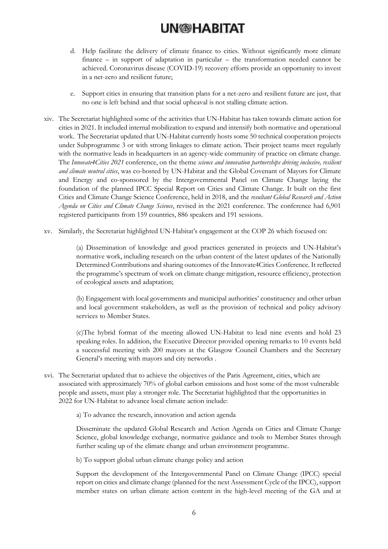- d. Help facilitate the delivery of climate finance to cities. Without significantly more climate finance – in support of adaptation in particular – the transformation needed cannot be achieved. Coronavirus disease (COVID-19) recovery efforts provide an opportunity to invest in a net-zero and resilient future;
- e. Support cities in ensuring that transition plans for a net-zero and resilient future are just, that no one is left behind and that social upheaval is not stalling climate action.
- xiv. The Secretariat highlighted some of the activities that UN-Habitat has taken towards climate action for cities in 2021. It included internal mobilization to expand and intensify both normative and operational work. The Secretariat updated that UN-Habitat currently hosts some 50 technical cooperation projects under Subprogramme 3 or with strong linkages to climate action. Their project teams meet regularly with the normative leads in headquarters in an agency-wide community of practice on climate change. The *Innovate4Cities 2021* conference, on the theme *science and innovation partnerships driving inclusive, resilient and climate neutral cities*, was co-hosted by UN-Habitat and the Global Covenant of Mayors for Climate and Energy and co-sponsored by the Intergovernmental Panel on Climate Change laying the foundation of the planned IPCC Special Report on Cities and Climate Change. It built on the first Cities and Climate Change Science Conference, held in 2018, and the *resultant Global Research and Action Agenda on Cities and Climate Change Science*, revised in the 2021 conference. The conference had 6,901 registered participants from 159 countries, 886 speakers and 191 sessions.
- xv. Similarly, the Secretariat highlighted UN-Habitat's engagement at the COP 26 which focused on:

(a) Dissemination of knowledge and good practices generated in projects and UN-Habitat's normative work, including research on the urban content of the latest updates of the Nationally Determined Contributions and sharing outcomes of the Innovate4Cities Conference. It reflected the programme's spectrum of work on climate change mitigation, resource efficiency, protection of ecological assets and adaptation;

(b) Engagement with local governments and municipal authorities' constituency and other urban and local government stakeholders, as well as the provision of technical and policy advisory services to Member States.

(c)The hybrid format of the meeting allowed UN-Habitat to lead nine events and hold 23 speaking roles. In addition, the Executive Director provided opening remarks to 10 events held a successful meeting with 200 mayors at the Glasgow Council Chambers and the Secretary General's meeting with mayors and city networks .

xvi. The Secretariat updated that to achieve the objectives of the Paris Agreement, cities, which are associated with approximately 70% of global carbon emissions and host some of the most vulnerable people and assets, must play a stronger role. The Secretariat highlighted that the opportunities in 2022 for UN-Habitat to advance local climate action include:

a) To advance the research, innovation and action agenda

Disseminate the updated Global Research and Action Agenda on Cities and Climate Change Science, global knowledge exchange, normative guidance and tools to Member States through further scaling up of the climate change and urban environment programme.

b) To support global urban climate change policy and action

Support the development of the Intergovernmental Panel on Climate Change (IPCC) special report on cities and climate change (planned for the next Assessment Cycle of the IPCC), support member states on urban climate action content in the high-level meeting of the GA and at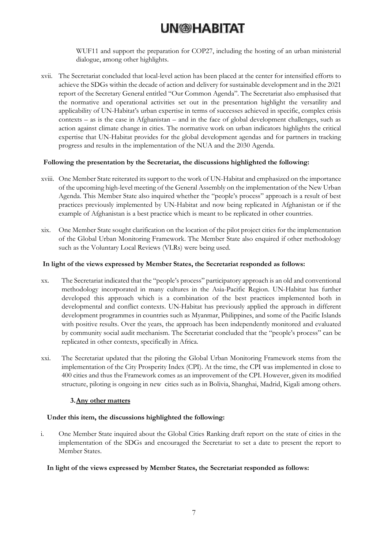WUF11 and support the preparation for COP27, including the hosting of an urban ministerial dialogue, among other highlights.

xvii. The Secretariat concluded that local-level action has been placed at the center for intensified efforts to achieve the SDGs within the decade of action and delivery for sustainable development and in the 2021 report of the Secretary General entitled "Our Common Agenda". The Secretariat also emphasised that the normative and operational activities set out in the presentation highlight the versatility and applicability of UN-Habitat's urban expertise in terms of successes achieved in specific, complex crisis contexts – as is the case in Afghanistan – and in the face of global development challenges, such as action against climate change in cities. The normative work on urban indicators highlights the critical expertise that UN-Habitat provides for the global development agendas and for partners in tracking progress and results in the implementation of the NUA and the 2030 Agenda.

#### **Following the presentation by the Secretariat, the discussions highlighted the following:**

- xviii. One Member State reiterated its support to the work of UN-Habitat and emphasized on the importance of the upcoming high-level meeting of the General Assembly on the implementation of the New Urban Agenda. This Member State also inquired whether the "people's process" approach is a result of best practices previously implemented by UN-Habitat and now being replicated in Afghanistan or if the example of Afghanistan is a best practice which is meant to be replicated in other countries.
- xix. One Member State sought clarification on the location of the pilot project cities for the implementation of the Global Urban Monitoring Framework. The Member State also enquired if other methodology such as the Voluntary Local Reviews (VLRs) were being used.

#### **In light of the views expressed by Member States, the Secretariat responded as follows:**

- xx. The Secretariat indicated that the "people's process" participatory approach is an old and conventional methodology incorporated in many cultures in the Asia-Pacific Region. UN-Habitat has further developed this approach which is a combination of the best practices implemented both in developmental and conflict contexts. UN-Habitat has previously applied the approach in different development programmes in countries such as Myanmar, Philippines, and some of the Pacific Islands with positive results. Over the years, the approach has been independently monitored and evaluated by community social audit mechanism. The Secretariat concluded that the "people's process" can be replicated in other contexts, specifically in Africa.
- xxi. The Secretariat updated that the piloting the Global Urban Monitoring Framework stems from the implementation of the City Prosperity Index (CPI). At the time, the CPI was implemented in close to 400 cities and thus the Framework comes as an improvement of the CPI. However, given its modified structure, piloting is ongoing in new cities such as in Bolivia, Shanghai, Madrid, Kigali among others.

#### **3.Any other matters**

### **Under this item, the discussions highlighted the following:**

i. One Member State inquired about the Global Cities Ranking draft report on the state of cities in the implementation of the SDGs and encouraged the Secretariat to set a date to present the report to Member States.

#### **In light of the views expressed by Member States, the Secretariat responded as follows:**